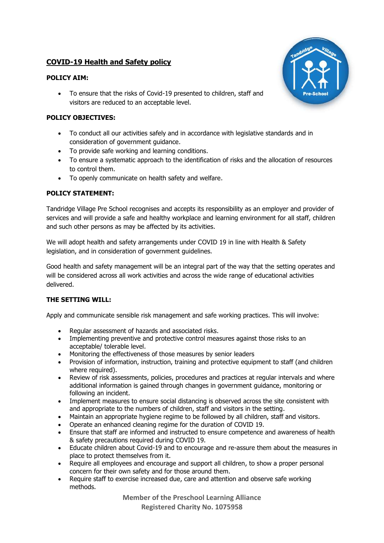# **COVID-19 Health and Safety policy**

### **POLICY AIM:**

• To ensure that the risks of Covid-19 presented to children, staff and visitors are reduced to an acceptable level.

### **POLICY OBJECTIVES:**

- To conduct all our activities safely and in accordance with legislative standards and in consideration of government guidance.
- To provide safe working and learning conditions.
- To ensure a systematic approach to the identification of risks and the allocation of resources to control them.
- To openly communicate on health safety and welfare.

# **POLICY STATEMENT:**

Tandridge Village Pre School recognises and accepts its responsibility as an employer and provider of services and will provide a safe and healthy workplace and learning environment for all staff, children and such other persons as may be affected by its activities.

We will adopt health and safety arrangements under COVID 19 in line with Health & Safety legislation, and in consideration of government guidelines.

Good health and safety management will be an integral part of the way that the setting operates and will be considered across all work activities and across the wide range of educational activities delivered.

#### **THE SETTING WILL:**

Apply and communicate sensible risk management and safe working practices. This will involve:

- Regular assessment of hazards and associated risks.
- Implementing preventive and protective control measures against those risks to an acceptable/ tolerable level.
- Monitoring the effectiveness of those measures by senior leaders
- Provision of information, instruction, training and protective equipment to staff (and children where required).
- Review of risk assessments, policies, procedures and practices at regular intervals and where additional information is gained through changes in government guidance, monitoring or following an incident.
- Implement measures to ensure social distancing is observed across the site consistent with and appropriate to the numbers of children, staff and visitors in the setting.
- Maintain an appropriate hygiene regime to be followed by all children, staff and visitors.
- Operate an enhanced cleaning regime for the duration of COVID 19.
- Ensure that staff are informed and instructed to ensure competence and awareness of health & safety precautions required during COVID 19.
- Educate children about Covid-19 and to encourage and re-assure them about the measures in place to protect themselves from it.
- Require all employees and encourage and support all children, to show a proper personal concern for their own safety and for those around them.
- Require staff to exercise increased due, care and attention and observe safe working methods.

**Member of the Preschool Learning Alliance Registered Charity No. 1075958**